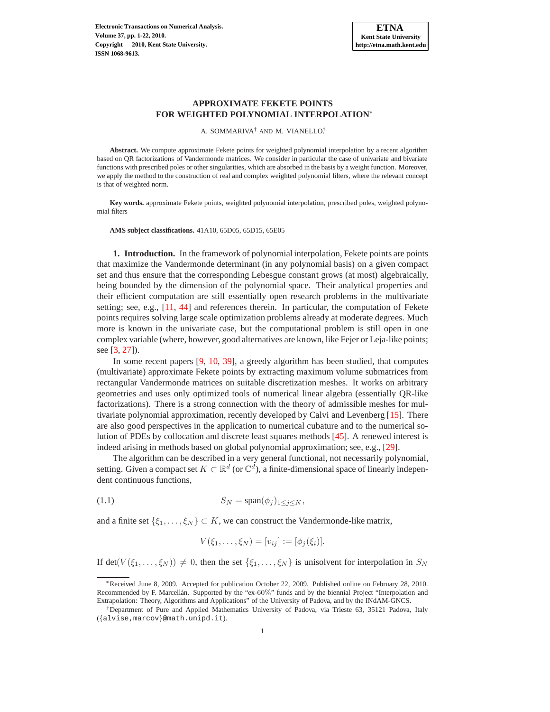A. SOMMARIVA† AND M. VIANELLO† .

**Abstract.** We compute approximate Fekete points for weighted polynomial interpolation by a recent algorithm based on QR factorizations of Vandermonde matrices. We consider in particular the case of univariate and bivariate functions with prescribed poles or other singularities, which are absorbed in the basis by a weight function. Moreover, we apply the method to the construction of real and complex weighted polynomial filters, where the relevant concept is that of weighted norm.

**Key words.** approximate Fekete points, weighted polynomial interpolation, prescribed poles, weighted polynomial filters

**AMS subject classifications.** 41A10, 65D05, 65D15, 65E05

**1. Introduction.** In the framework of polynomial interpolation, Fekete points are points that maximize the Vandermonde determinant (in any polynomial basis) on a given compact set and thus ensure that the corresponding Lebesgue constant grows (at most) algebraically, being bounded by the dimension of the polynomial space. Their analytical properties and their efficient computation are still essentially open research problems in the multivariate setting; see, e.g., [\[11,](#page-20-0) [44\]](#page-21-0) and references therein. In particular, the computation of Fekete points requires solving large scale optimization problems already at moderate degrees. Much more is known in the univariate case, but the computational problem is still open in one complex variable (where, however, good alternatives are known, like Fejer or Leja-like points; see [\[3,](#page-19-0) [27\]](#page-20-1)).

In some recent papers [\[9,](#page-19-1) [10,](#page-20-2) [39\]](#page-21-1), a greedy algorithm has been studied, that computes (multivariate) approximate Fekete points by extracting maximum volume submatrices from rectangular Vandermonde matrices on suitable discretization meshes. It works on arbitrary geometries and uses only optimized tools of numerical linear algebra (essentially QR-like factorizations). There is a strong connection with the theory of admissible meshes for multivariate polynomial approximation, recently developed by Calvi and Levenberg [\[15\]](#page-20-3). There are also good perspectives in the application to numerical cubature and to the numerical solution of PDEs by collocation and discrete least squares methods [\[45\]](#page-21-2). A renewed interest is indeed arising in methods based on global polynomial approximation; see, e.g., [\[29\]](#page-20-4).

The algorithm can be described in a very general functional, not necessarily polynomial, setting. Given a compact set  $K \subset \mathbb{R}^d$  (or  $\mathbb{C}^d$ ), a finite-dimensional space of linearly independent continuous functions,

<span id="page-0-0"></span>
$$
(1.1) \tS_N = span(\phi_j)_{1 \le j \le N},
$$

and a finite set  $\{\xi_1, \ldots, \xi_N\} \subset K$ , we can construct the Vandermonde-like matrix,

$$
V(\xi_1,\ldots,\xi_N) = [v_{ij}] := [\phi_j(\xi_i)].
$$

If det( $V(\xi_1,\ldots,\xi_N)$ )  $\neq 0$ , then the set  $\{\xi_1,\ldots,\xi_N\}$  is unisolvent for interpolation in  $S_N$ 

<sup>∗</sup>Received June 8, 2009. Accepted for publication October 22, 2009. Published online on February 28, 2010. Recommended by F. Marcellán. Supported by the "ex-60%" funds and by the biennial Project "Interpolation and Extrapolation: Theory, Algorithms and Applications" of the University of Padova, and by the INdAM-GNCS.

<sup>†</sup>Department of Pure and Applied Mathematics University of Padova, via Trieste 63, 35121 Padova, Italy ({alvise,marcov}@math.unipd.it).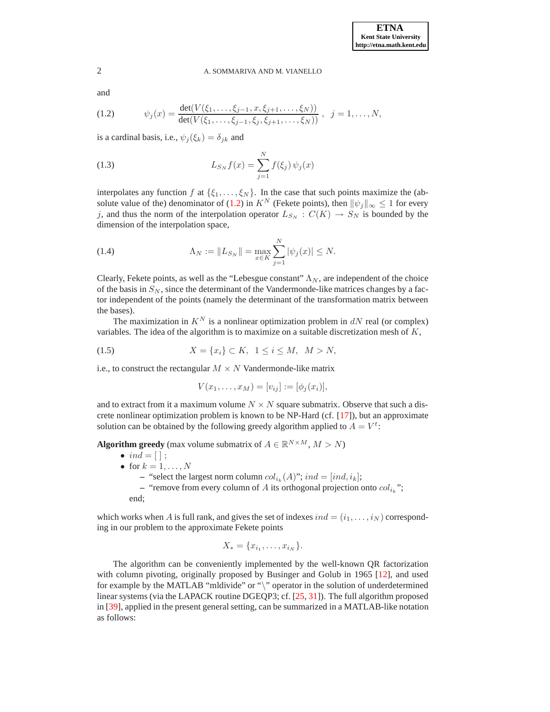and

<span id="page-1-0"></span>(1.2) 
$$
\psi_j(x) = \frac{\det(V(\xi_1,\ldots,\xi_{j-1},x,\xi_{j+1},\ldots,\xi_N))}{\det(V(\xi_1,\ldots,\xi_{j-1},\xi_j,\xi_{j+1},\ldots,\xi_N))}, \ \ j=1,\ldots,N,
$$

is a cardinal basis, i.e.,  $\psi_j(\xi_k) = \delta_{jk}$  and

<span id="page-1-1"></span>(1.3) 
$$
L_{S_N} f(x) = \sum_{j=1}^N f(\xi_j) \psi_j(x)
$$

interpolates any function f at  $\{\xi_1, \ldots, \xi_N\}$ . In the case that such points maximize the (ab-solute value of the) denominator of [\(1.2\)](#page-1-0) in  $K^N$  (Fekete points), then  $\|\psi_i\|_{\infty} \leq 1$  for every j, and thus the norm of the interpolation operator  $L_{S_N} : C(K) \to S_N$  is bounded by the dimension of the interpolation space,

<span id="page-1-2"></span>(1.4) 
$$
\Lambda_N := \|L_{S_N}\| = \max_{x \in K} \sum_{j=1}^N |\psi_j(x)| \le N.
$$

Clearly, Fekete points, as well as the "Lebesgue constant"  $\Lambda_N$ , are independent of the choice of the basis in  $S_N$ , since the determinant of the Vandermonde-like matrices changes by a factor independent of the points (namely the determinant of the transformation matrix between the bases).

The maximization in  $K^N$  is a nonlinear optimization problem in dN real (or complex) variables. The idea of the algorithm is to maximize on a suitable discretization mesh of  $K$ ,

<span id="page-1-3"></span>(1.5) 
$$
X = \{x_i\} \subset K, \ \ 1 \le i \le M, \ \ M > N,
$$

i.e., to construct the rectangular  $M \times N$  Vandermonde-like matrix

$$
V(x_1,...,x_M) = [v_{ij}] := [\phi_j(x_i)],
$$

and to extract from it a maximum volume  $N \times N$  square submatrix. Observe that such a discrete nonlinear optimization problem is known to be NP-Hard (cf. [\[17\]](#page-20-5)), but an approximate solution can be obtained by the following greedy algorithm applied to  $A = V^t$ :

**Algorithm greedy** (max volume submatrix of  $A \in \mathbb{R}^{N \times M}$ ,  $M > N$ )

 $\bullet$  ind =  $[\;]$ ; • for  $k = 1, \ldots, N$  $\blacksquare$  "select the largest norm column  $col_{i_k}(A)$ ";  $ind = [ind, i_k]$ ; - "remove from every column of A its orthogonal projection onto  $col_{i_k}$ ";

end;

which works when A is full rank, and gives the set of indexes  $ind = (i_1, \ldots, i_N)$  corresponding in our problem to the approximate Fekete points

$$
X_* = \{x_{i_1}, \dots, x_{i_N}\}.
$$

The algorithm can be conveniently implemented by the well-known QR factorization with column pivoting, originally proposed by Businger and Golub in 1965 [\[12\]](#page-20-6), and used for example by the MATLAB "mldivide" or "\" operator in the solution of underdetermined linear systems (via the LAPACK routine DGEQP3; cf. [\[25,](#page-20-7) [31\]](#page-21-3)). The full algorithm proposed in [\[39\]](#page-21-1), applied in the present general setting, can be summarized in a MATLAB-like notation as follows: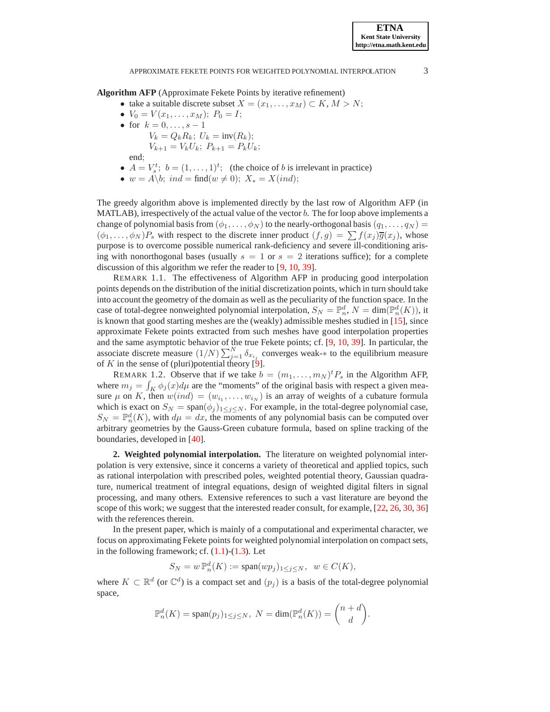**Algorithm AFP** (Approximate Fekete Points by iterative refinement)

- take a suitable discrete subset  $X = (x_1, \ldots, x_M) \subset K, M > N$ ;
- $V_0 = V(x_1, \ldots, x_M); P_0 = I;$
- for  $k = 0, ..., s 1$ 
	- $V_k = Q_k R_k$ ;  $U_k = inv(R_k)$ ;  $V_{k+1} = V_k U_k$ ;  $P_{k+1} = P_k U_k$ ;

end;

- $A = V_s^t$ ;  $b = (1, ..., 1)^t$ ; (the choice of b is irrelevant in practice)
- $w = A \backslash b$ ;  $ind = \text{find}(w \neq 0)$ ;  $X_* = X(ind)$ ;

The greedy algorithm above is implemented directly by the last row of Algorithm AFP (in MATLAB), irrespectively of the actual value of the vector  $b$ . The for loop above implements a change of polynomial basis from  $(\phi_1, \ldots, \phi_N)$  to the nearly-orthogonal basis  $(q_1, \ldots, q_N)$  =  $(\phi_1, \ldots, \phi_N)P_s$  with respect to the discrete inner product  $(f, g) = \sum f(x_j) \overline{g}(x_j)$ , whose purpose is to overcome possible numerical rank-deficiency and severe ill-conditioning arising with nonorthogonal bases (usually  $s = 1$  or  $s = 2$  iterations suffice); for a complete discussion of this algorithm we refer the reader to [\[9,](#page-19-1) [10,](#page-20-2) [39\]](#page-21-1).

REMARK 1.1. The effectiveness of Algorithm AFP in producing good interpolation points depends on the distribution of the initial discretization points, which in turn should take into account the geometry of the domain as well as the peculiarity of the function space. In the case of total-degree nonweighted polynomial interpolation,  $S_N = \mathbb{P}_n^d$ ,  $N = \dim(\mathbb{P}_n^d(K))$ , it is known that good starting meshes are the (weakly) admissible meshes studied in [\[15\]](#page-20-3), since approximate Fekete points extracted from such meshes have good interpolation properties and the same asymptotic behavior of the true Fekete points; cf. [\[9,](#page-19-1) [10,](#page-20-2) [39\]](#page-21-1). In particular, the associate discrete measure  $(1/N) \sum_{j=1}^{N} \delta_{x_{i_j}}$  converges weak-\* to the equilibrium measure of K in the sense of (pluri)potential theory  $[9]$ .

REMARK 1.2. Observe that if we take  $b = (m_1, \dots, m_N)^t P_s$  in the Algorithm AFP, where  $m_j = \int_K \phi_j(x) d\mu$  are the "moments" of the original basis with respect a given measure  $\mu$  on K, then  $w(ind) = (w_{i_1}, \ldots, w_{i_N})$  is an array of weights of a cubature formula which is exact on  $S_N = \text{span}(\phi_j)_{1 \leq j \leq N}$ . For example, in the total-degree polynomial case,  $S_N = \mathbb{P}_n^d(K)$ , with  $d\mu = dx$ , the moments of any polynomial basis can be computed over arbitrary geometries by the Gauss-Green cubature formula, based on spline tracking of the boundaries, developed in [\[40\]](#page-21-4).

**2. Weighted polynomial interpolation.** The literature on weighted polynomial interpolation is very extensive, since it concerns a variety of theoretical and applied topics, such as rational interpolation with prescribed poles, weighted potential theory, Gaussian quadrature, numerical treatment of integral equations, design of weighted digital filters in signal processing, and many others. Extensive references to such a vast literature are beyond the scope of this work; we suggest that the interested reader consult, for example, [\[22,](#page-20-8) [26,](#page-20-9) [30,](#page-21-5) [36\]](#page-21-6) with the references therein.

In the present paper, which is mainly of a computational and experimental character, we focus on approximating Fekete points for weighted polynomial interpolation on compact sets, in the following framework; cf.  $(1.1)-(1.3)$  $(1.1)-(1.3)$ . Let

$$
S_N = w \, \mathbb{P}_n^d(K) := \text{span}(wp_j)_{1 \le j \le N}, \ \ w \in C(K),
$$

where  $K \subset \mathbb{R}^d$  (or  $\mathbb{C}^d$ ) is a compact set and  $(p_j)$  is a basis of the total-degree polynomial space,

$$
\mathbb{P}_n^d(K) = \text{span}(p_j)_{1 \le j \le N}, \ N = \text{dim}(\mathbb{P}_n^d(K)) = \binom{n+d}{d}.
$$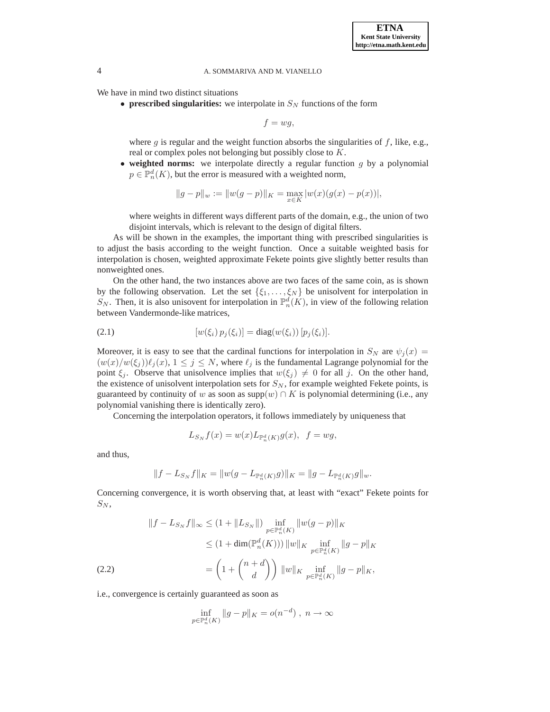We have in mind two distinct situations

• **prescribed singularities:** we interpolate in  $S_N$  functions of the form

 $f = wg$ ,

where  $g$  is regular and the weight function absorbs the singularities of  $f$ , like, e.g., real or complex poles not belonging but possibly close to K.

• **weighted norms:** we interpolate directly a regular function g by a polynomial  $p \in \mathbb{P}_n^d(K)$ , but the error is measured with a weighted norm,

$$
||g-p||_w := ||w(g-p)||_K = \max_{x \in K} |w(x)(g(x) - p(x))|,
$$

where weights in different ways different parts of the domain, e.g., the union of two disjoint intervals, which is relevant to the design of digital filters.

As will be shown in the examples, the important thing with prescribed singularities is to adjust the basis according to the weight function. Once a suitable weighted basis for interpolation is chosen, weighted approximate Fekete points give slightly better results than nonweighted ones.

On the other hand, the two instances above are two faces of the same coin, as is shown by the following observation. Let the set  $\{\xi_1, \ldots, \xi_N\}$  be unisolvent for interpolation in  $S_N$ . Then, it is also unisovent for interpolation in  $\mathbb{P}_n^d(K)$ , in view of the following relation between Vandermonde-like matrices,

<span id="page-3-0"></span>(2.1) 
$$
[w(\xi_i) p_j(\xi_i)] = \text{diag}(w(\xi_i)) [p_j(\xi_i)].
$$

Moreover, it is easy to see that the cardinal functions for interpolation in  $S_N$  are  $\psi_i(x) =$  $(w(x)/w(\xi_i))\ell_i(x), 1 \leq j \leq N$ , where  $\ell_i$  is the fundamental Lagrange polynomial for the point  $\xi_j$ . Observe that unisolvence implies that  $w(\xi_j) \neq 0$  for all j. On the other hand, the existence of unisolvent interpolation sets for  $S_N$ , for example weighted Fekete points, is guaranteed by continuity of w as soon as supp $(w) \cap K$  is polynomial determining (i.e., any polynomial vanishing there is identically zero).

Concerning the interpolation operators, it follows immediately by uniqueness that

$$
L_{S_N}f(x) = w(x)L_{\mathbb{P}_n^d(K)}g(x), \ \ f = wg,
$$

and thus,

$$
||f - L_{S_N}f||_K = ||w(g - L_{\mathbb{P}_n^d(K)}g)||_K = ||g - L_{\mathbb{P}_n^d(K)}g||_w.
$$

Concerning convergence, it is worth observing that, at least with "exact" Fekete points for  $S_N$ ,

<span id="page-3-1"></span>
$$
||f - L_{S_N}f||_{\infty} \le (1 + ||L_{S_N}||) \inf_{p \in \mathbb{P}_n^d(K)} ||w(g - p)||_K
$$
  

$$
\le (1 + \dim(\mathbb{P}_n^d(K))) ||w||_K \inf_{p \in \mathbb{P}_n^d(K)} ||g - p||_K
$$
  
(2.2)  

$$
= \left(1 + {n + d \choose d}\right) ||w||_K \inf_{p \in \mathbb{P}_n^d(K)} ||g - p||_K,
$$

i.e., convergence is certainly guaranteed as soon as

$$
\inf_{p \in \mathbb{P}_n^d(K)} \|g - p\|_K = o(n^{-d}), \ n \to \infty
$$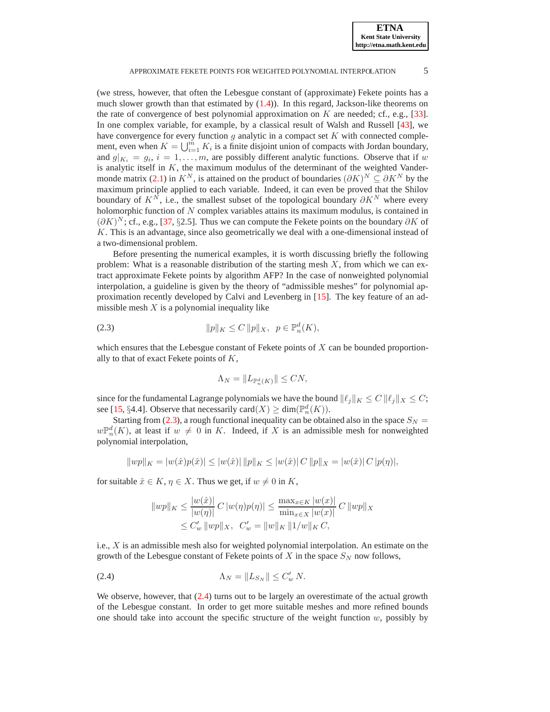(we stress, however, that often the Lebesgue constant of (approximate) Fekete points has a much slower growth than that estimated by  $(1.4)$ . In this regard, Jackson-like theorems on the rate of convergence of best polynomial approximation on  $K$  are needed; cf., e.g., [\[33\]](#page-21-7). In one complex variable, for example, by a classical result of Walsh and Russell [\[43\]](#page-21-8), we have convergence for every function  $g$  analytic in a compact set  $K$  with connected complement, even when  $K = \bigcup_{i=1}^{m} K_i$  is a finite disjoint union of compacts with Jordan boundary, and  $g|_{K_i} = g_i$ ,  $i = 1, ..., m$ , are possibly different analytic functions. Observe that if w is analytic itself in  $K$ , the maximum modulus of the determinant of the weighted Vander-monde matrix [\(2.1\)](#page-3-0) in  $K^N$ , is attained on the product of boundaries  $(\partial K)^N \subseteq \partial K^N$  by the maximum principle applied to each variable. Indeed, it can even be proved that the Shilov boundary of  $K^N$ , i.e., the smallest subset of the topological boundary  $\partial K^N$  where every holomorphic function of N complex variables attains its maximum modulus, is contained in  $(\partial K)^N$ ; cf., e.g., [\[37,](#page-21-9) §2.5]. Thus we can compute the Fekete points on the boundary  $\partial K$  of K. This is an advantage, since also geometrically we deal with a one-dimensional instead of a two-dimensional problem.

Before presenting the numerical examples, it is worth discussing briefly the following problem: What is a reasonable distribution of the starting mesh  $X$ , from which we can extract approximate Fekete points by algorithm AFP? In the case of nonweighted polynomial interpolation, a guideline is given by the theory of "admissible meshes" for polynomial approximation recently developed by Calvi and Levenberg in [\[15\]](#page-20-3). The key feature of an admissible mesh  $X$  is a polynomial inequality like

<span id="page-4-0"></span>(2.3) 
$$
\|p\|_K \le C \|p\|_X, \ \ p \in \mathbb{P}_n^d(K),
$$

which ensures that the Lebesgue constant of Fekete points of  $X$  can be bounded proportionally to that of exact Fekete points of  $K$ ,

$$
\Lambda_N = \|L_{\mathbb{P}_n^d(K)}\| \leq CN,
$$

since for the fundamental Lagrange polynomials we have the bound  $\|\ell_i\|_K \leq C \|\ell_i\|_X \leq C$ ; see [\[15,](#page-20-3) §4.4]. Observe that necessarily card $(X) \ge \dim(\mathbb{P}_n^d(K))$ .

Starting from [\(2.3\)](#page-4-0), a rough functional inequality can be obtained also in the space  $S_N$  =  $w\mathbb{P}_n^d(K)$ , at least if  $w \neq 0$  in K. Indeed, if X is an admissible mesh for nonweighted polynomial interpolation,

$$
||wp||_K = |w(\hat{x})p(\hat{x})| \le |w(\hat{x})| ||p||_K \le |w(\hat{x})| C ||p||_X = |w(\hat{x})| C |p(\eta)|,
$$

for suitable  $\hat{x} \in K$ ,  $\eta \in X$ . Thus we get, if  $w \neq 0$  in K,

$$
||wp||_K \le \frac{|w(\hat{x})|}{|w(\eta)|} C |w(\eta)p(\eta)| \le \frac{\max_{x \in K} |w(x)|}{\min_{x \in X} |w(x)|} C ||wp||_X
$$
  

$$
\le C_w' ||wp||_X, C_w' = ||w||_K ||1/w||_K C,
$$

i.e.,  $X$  is an admissible mesh also for weighted polynomial interpolation. An estimate on the growth of the Lebesgue constant of Fekete points of X in the space  $S_N$  now follows,

<span id="page-4-1"></span>
$$
\Lambda_N = \|L_{S_N}\| \le C'_w N.
$$

We observe, however, that  $(2.4)$  turns out to be largely an overestimate of the actual growth of the Lebesgue constant. In order to get more suitable meshes and more refined bounds one should take into account the specific structure of the weight function  $w$ , possibly by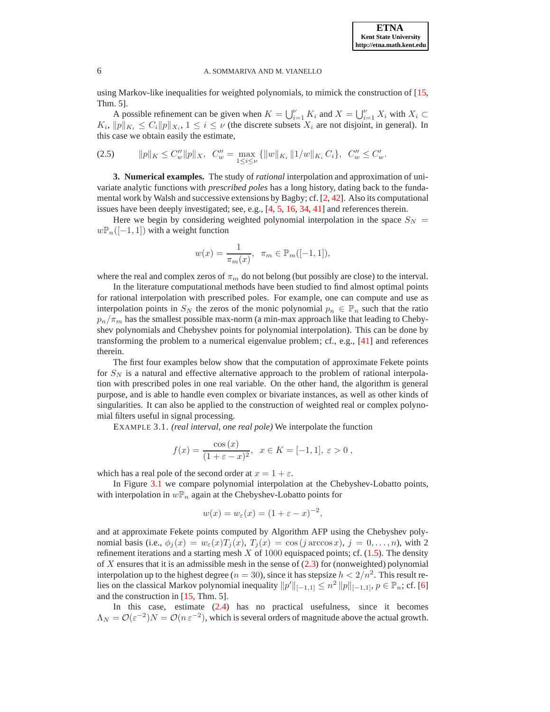using Markov-like inequalities for weighted polynomials, to mimick the construction of [\[15,](#page-20-3) Thm. 5].

A possible refinement can be given when  $K = \bigcup_{i=1}^{V} K_i$  and  $X = \bigcup_{i=1}^{V} X_i$  with  $X_i \subset$  $K_i$ ,  $||p||_{K_i} \leq C_i ||p||_{X_i}$ ,  $1 \leq i \leq \nu$  (the discrete subsets  $X_i$  are not disjoint, in general). In this case we obtain easily the estimate,

<span id="page-5-1"></span>
$$
(2.5) \t ||p||_K \leq C_w'' ||p||_X, \quad C_w'' = \max_{1 \leq i \leq \nu} \{ ||w||_{K_i} ||1/w||_{K_i} C_i \}, \quad C_w'' \leq C_w'.
$$

**3. Numerical examples.** The study of *rational* interpolation and approximation of univariate analytic functions with *prescribed poles* has a long history, dating back to the fundamental work by Walsh and successive extensions by Bagby; cf. [\[2,](#page-19-2) [42\]](#page-21-10). Also its computational issues have been deeply investigated; see, e.g., [\[4,](#page-19-3) [5,](#page-19-4) [16,](#page-20-10) [34,](#page-21-11) [41\]](#page-21-12) and references therein.

Here we begin by considering weighted polynomial interpolation in the space  $S_N$  =  $w\mathbb{P}_n([-1,1])$  with a weight function

$$
w(x) = \frac{1}{\pi_m(x)}, \ \pi_m \in \mathbb{P}_m([-1, 1]),
$$

where the real and complex zeros of  $\pi_m$  do not belong (but possibly are close) to the interval.

In the literature computational methods have been studied to find almost optimal points for rational interpolation with prescribed poles. For example, one can compute and use as interpolation points in  $S_N$  the zeros of the monic polynomial  $p_n \in \mathbb{P}_n$  such that the ratio  $p_n/\pi_m$  has the smallest possible max-norm (a min-max approach like that leading to Chebyshev polynomials and Chebyshev points for polynomial interpolation). This can be done by transforming the problem to a numerical eigenvalue problem; cf., e.g., [\[41\]](#page-21-12) and references therein.

The first four examples below show that the computation of approximate Fekete points for  $S_N$  is a natural and effective alternative approach to the problem of rational interpolation with prescribed poles in one real variable. On the other hand, the algorithm is general purpose, and is able to handle even complex or bivariate instances, as well as other kinds of singularities. It can also be applied to the construction of weighted real or complex polynomial filters useful in signal processing.

<span id="page-5-0"></span>EXAMPLE 3.1. *(real interval, one real pole)* We interpolate the function

$$
f(x) = \frac{\cos (x)}{(1 + \varepsilon - x)^2}, \ \ x \in K = [-1, 1], \ \varepsilon > 0,
$$

which has a real pole of the second order at  $x = 1 + \varepsilon$ .

In Figure [3.1](#page-6-0) we compare polynomial interpolation at the Chebyshev-Lobatto points, with interpolation in  $w\mathbb{P}_n$  again at the Chebyshev-Lobatto points for

$$
w(x) = w_{\varepsilon}(x) = (1 + \varepsilon - x)^{-2},
$$

and at approximate Fekete points computed by Algorithm AFP using the Chebyshev polynomial basis (i.e.,  $\phi_i(x) = w_{\varepsilon}(x)T_i(x)$ ,  $T_i(x) = \cos(j \arccos x)$ ,  $j = 0, \ldots, n$ ), with 2 refinement iterations and a starting mesh  $X$  of 1000 equispaced points; cf. [\(1.5\)](#page-1-3). The density of X ensures that it is an admissible mesh in the sense of  $(2.3)$  for (nonweighted) polynomial interpolation up to the highest degree ( $n = 30$ ), since it has stepsize  $h < 2/n^2$ . This result relies on the classical Markov polynomial inequality  $||p'||_{[-1,1]} \leq n^2 ||p||_{[-1,1]}, p \in \mathbb{P}_n$ ; cf. [\[6\]](#page-19-5) and the construction in [\[15,](#page-20-3) Thm. 5].

In this case, estimate [\(2.4\)](#page-4-1) has no practical usefulness, since it becomes  $\Lambda_N = \mathcal{O}(\varepsilon^{-2})N = \mathcal{O}(n \varepsilon^{-2})$ , which is several orders of magnitude above the actual growth.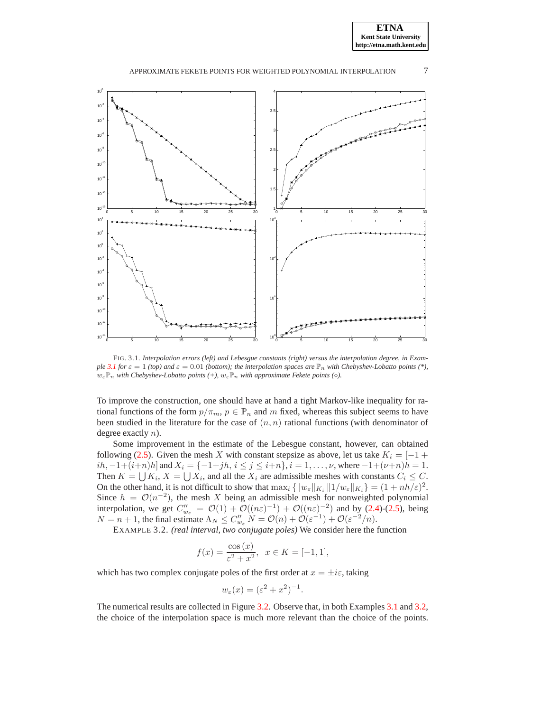

<span id="page-6-0"></span>FIG. 3.1. *Interpolation errors (left) and Lebesgue constants (right) versus the interpolation degree, in Example* [3.1](#page-5-0) *for*  $\varepsilon = 1$  *(top) and*  $\varepsilon = 0.01$  *(bottom); the interpolation spaces are*  $\mathbb{P}_n$  *with Chebyshev-Lobatto points* (\*),  $w_{\varepsilon} \mathbb{P}_n$  *with Chebyshev-Lobatto points* (+),  $w_{\varepsilon} \mathbb{P}_n$  *with approximate Fekete points* ( $\circ$ ).

To improve the construction, one should have at hand a tight Markov-like inequality for rational functions of the form  $p/\pi_m$ ,  $p \in \mathbb{P}_n$  and m fixed, whereas this subject seems to have been studied in the literature for the case of  $(n, n)$  rational functions (with denominator of degree exactly  $n$ ).

Some improvement in the estimate of the Lebesgue constant, however, can obtained following [\(2.5\)](#page-5-1). Given the mesh X with constant stepsize as above, let us take  $K_i = \begin{bmatrix} -1 + \end{bmatrix}$ ih,  $-1+(i+n)h$ ] and  $X_i = \{-1+jh, i \leq j \leq i+n\}, i = 1, \ldots, \nu$ , where  $-1+(\nu+n)h = 1$ . Then  $K = \bigcup K_i$ ,  $X = \bigcup X_i$ , and all the  $X_i$  are admissible meshes with constants  $C_i \leq C$ . On the other hand, it is not difficult to show that  $\max_i {\{\Vert w_{\varepsilon} \Vert_{K_i} \Vert 1/w_{\varepsilon} \Vert_{K_i} \} } = (1 + nh/\varepsilon)^2$ . Since  $h = \mathcal{O}(n^{-2})$ , the mesh X being an admissible mesh for nonweighted polynomial interpolation, we get  $C''_{w_{\varepsilon}} = \mathcal{O}(1) + \mathcal{O}((n\varepsilon)^{-1}) + \mathcal{O}((n\varepsilon)^{-2})$  and by [\(2.4\)](#page-4-1)-[\(2.5\)](#page-5-1), being  $N = n + 1$ , the final estimate  $\Lambda_N \leq C''_{w_{\varepsilon}} N = \mathcal{O}(n) + \mathcal{O}(\varepsilon^{-1}) + \mathcal{O}(\varepsilon^{-2}/n)$ .

<span id="page-6-1"></span>EXAMPLE 3.2. *(real interval, two conjugate poles)* We consider here the function

$$
f(x) = \frac{\cos(x)}{\varepsilon^2 + x^2}, \ \ x \in K = [-1, 1],
$$

which has two complex conjugate poles of the first order at  $x = \pm i\varepsilon$ , taking

$$
w_{\varepsilon}(x) = (\varepsilon^2 + x^2)^{-1}.
$$

The numerical results are collected in Figure [3.2.](#page-7-0) Observe that, in both Examples [3.1](#page-5-0) and [3.2,](#page-6-1) the choice of the interpolation space is much more relevant than the choice of the points.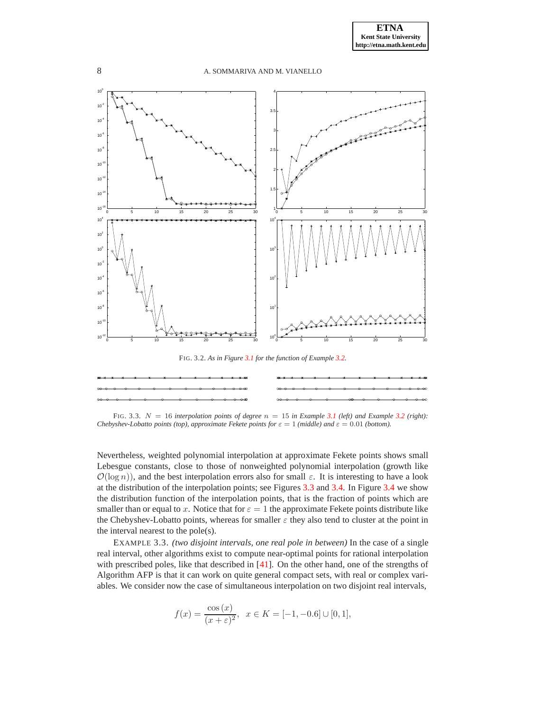

<span id="page-7-1"></span><span id="page-7-0"></span>FIG. 3.3.  $N = 16$  *interpolation points of degree*  $n = 15$  *in Example* [3.1](#page-5-0) *(left) and Example* [3.2](#page-6-1) *(right)*: *Chebyshev-Lobatto points (top), approximate Fekete points for*  $\varepsilon = 1$  *(middle) and*  $\varepsilon = 0.01$  *(bottom).* 

Nevertheless, weighted polynomial interpolation at approximate Fekete points shows small Lebesgue constants, close to those of nonweighted polynomial interpolation (growth like  $\mathcal{O}(\log n)$ , and the best interpolation errors also for small  $\varepsilon$ . It is interesting to have a look at the distribution of the interpolation points; see Figures [3.3](#page-7-1) and [3.4.](#page-8-0) In Figure [3.4](#page-8-0) we show the distribution function of the interpolation points, that is the fraction of points which are smaller than or equal to x. Notice that for  $\varepsilon = 1$  the approximate Fekete points distribute like the Chebyshev-Lobatto points, whereas for smaller  $\varepsilon$  they also tend to cluster at the point in the interval nearest to the pole(s).

<span id="page-7-2"></span>EXAMPLE 3.3. *(two disjoint intervals, one real pole in between)* In the case of a single real interval, other algorithms exist to compute near-optimal points for rational interpolation with prescribed poles, like that described in [\[41\]](#page-21-12). On the other hand, one of the strengths of Algorithm AFP is that it can work on quite general compact sets, with real or complex variables. We consider now the case of simultaneous interpolation on two disjoint real intervals,

$$
f(x) = \frac{\cos(x)}{(x+\varepsilon)^2}, \ \ x \in K = [-1, -0.6] \cup [0, 1],
$$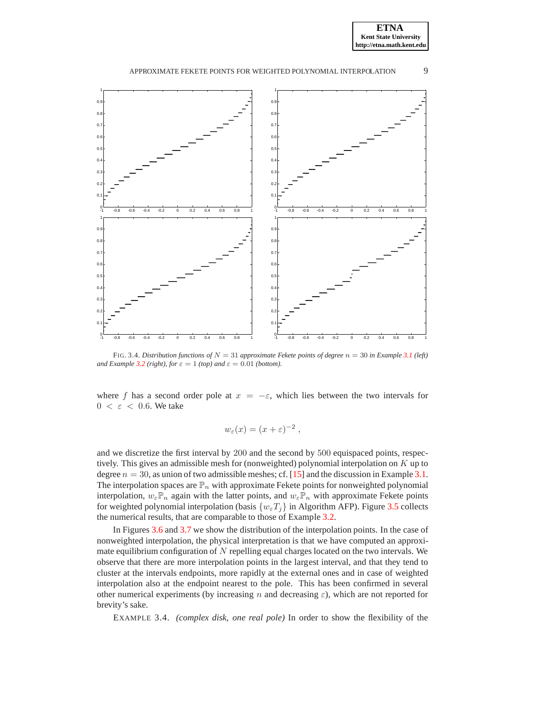



<span id="page-8-0"></span>FIG. 3.4. *Distribution functions of*  $N = 31$  *approximate Fekete points of degree*  $n = 30$  *in Example* [3.1](#page-5-0) (left) *and Example* [3.2](#page-6-1) *(right), for*  $\varepsilon = 1$  *(top) and*  $\varepsilon = 0.01$  *(bottom).* 

where f has a second order pole at  $x = -\varepsilon$ , which lies between the two intervals for  $0 < \varepsilon < 0.6$ . We take

$$
w_{\varepsilon}(x) = (x + \varepsilon)^{-2},
$$

and we discretize the first interval by 200 and the second by 500 equispaced points, respectively. This gives an admissible mesh for (nonweighted) polynomial interpolation on K up to degree  $n = 30$ , as union of two admissible meshes; cf. [\[15\]](#page-20-3) and the discussion in Example [3.1.](#page-5-0) The interpolation spaces are  $\mathbb{P}_n$  with approximate Fekete points for nonweighted polynomial interpolation,  $w_{\varepsilon} \mathbb{P}_n$  again with the latter points, and  $w_{\varepsilon} \mathbb{P}_n$  with approximate Fekete points for weighted polynomial interpolation (basis  $\{w_{\varepsilon}T_i\}$  in Algorithm AFP). Figure [3.5](#page-9-0) collects the numerical results, that are comparable to those of Example [3.2.](#page-6-1)

In Figures [3.6](#page-10-0) and [3.7](#page-10-1) we show the distribution of the interpolation points. In the case of nonweighted interpolation, the physical interpretation is that we have computed an approximate equilibrium configuration of  $N$  repelling equal charges located on the two intervals. We observe that there are more interpolation points in the largest interval, and that they tend to cluster at the intervals endpoints, more rapidly at the external ones and in case of weighted interpolation also at the endpoint nearest to the pole. This has been confirmed in several other numerical experiments (by increasing n and decreasing  $\varepsilon$ ), which are not reported for brevity's sake.

<span id="page-8-1"></span>EXAMPLE 3.4. *(complex disk, one real pole)* In order to show the flexibility of the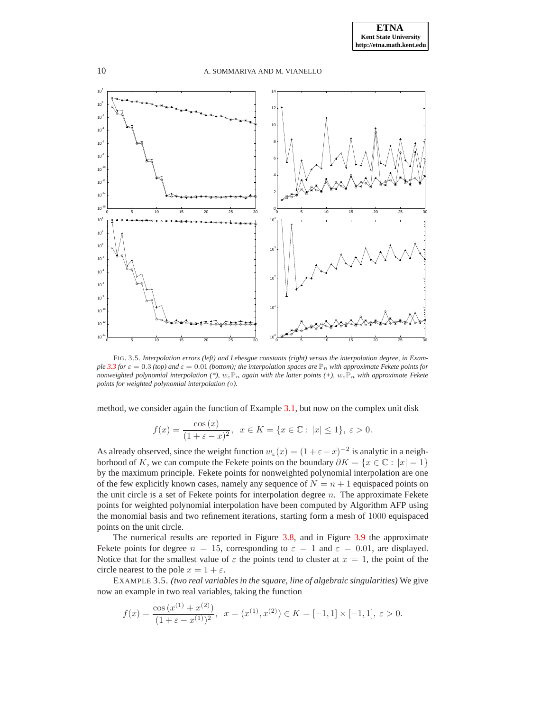

<span id="page-9-0"></span>FIG. 3.5. *Interpolation errors (left) and Lebesgue constants (right) versus the interpolation degree, in Example* [3.3](#page-7-2) *for*  $\varepsilon = 0.3$  *(top)* and  $\varepsilon = 0.01$  *(bottom); the interpolation spaces are*  $\mathbb{P}_n$  *with approximate Fekete points for nonweighted polynomial interpolation* (\*),  $w_{\varepsilon} \mathbb{P}_n$  *again with the latter points* (+),  $w_{\varepsilon} \mathbb{P}_n$  *with approximate Fekete points for weighted polynomial interpolation (*◦*).*

method, we consider again the function of Example [3.1,](#page-5-0) but now on the complex unit disk

$$
f(x) = \frac{\cos (x)}{(1 + \varepsilon - x)^2}, \ \ x \in K = \{x \in \mathbb{C} : |x| \le 1\}, \ \varepsilon > 0.
$$

As already observed, since the weight function  $w_{\varepsilon}(x) = (1 + \varepsilon - x)^{-2}$  is analytic in a neighborhood of K, we can compute the Fekete points on the boundary  $\partial K = \{x \in \mathbb{C} : |x| = 1\}$ by the maximum principle. Fekete points for nonweighted polynomial interpolation are one of the few explicitly known cases, namely any sequence of  $N = n + 1$  equispaced points on the unit circle is a set of Fekete points for interpolation degree  $n$ . The approximate Fekete points for weighted polynomial interpolation have been computed by Algorithm AFP using the monomial basis and two refinement iterations, starting form a mesh of 1000 equispaced points on the unit circle.

The numerical results are reported in Figure [3.8,](#page-10-2) and in Figure [3.9](#page-11-0) the approximate Fekete points for degree  $n = 15$ , corresponding to  $\varepsilon = 1$  and  $\varepsilon = 0.01$ , are displayed. Notice that for the smallest value of  $\varepsilon$  the points tend to cluster at  $x = 1$ , the point of the circle nearest to the pole  $x = 1 + \varepsilon$ .

<span id="page-9-1"></span>EXAMPLE 3.5. *(two real variables in the square, line of algebraic singularities)* We give now an example in two real variables, taking the function

$$
f(x) = \frac{\cos(x^{(1)} + x^{(2)})}{(1 + \varepsilon - x^{(1)})^2}, \quad x = (x^{(1)}, x^{(2)}) \in K = [-1, 1] \times [-1, 1], \quad \varepsilon > 0.
$$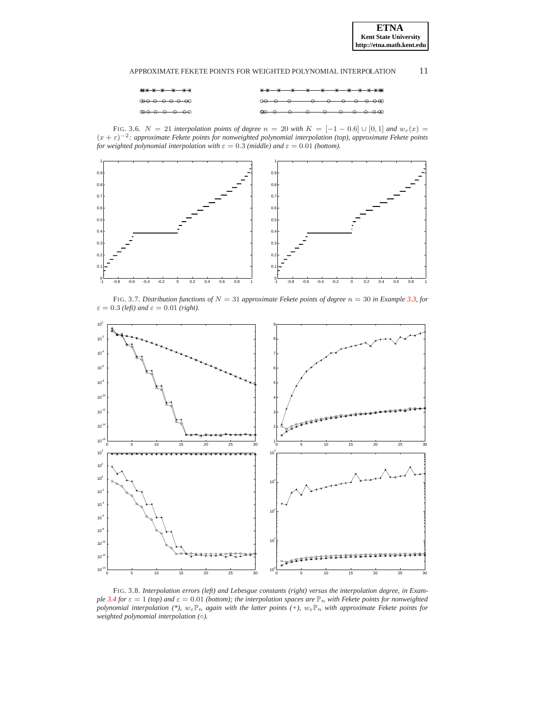

<span id="page-10-0"></span>FIG. 3.6.  $N = 21$  *interpolation points of degree*  $n = 20$  *with*  $K = [-1 - 0.6] \cup [0, 1]$  *and*  $w_{\varepsilon}(x) =$ (x + ε)−<sup>2</sup> *: approximate Fekete points for nonweighted polynomial interpolation (top), approximate Fekete points for weighted polynomial interpolation with*  $\varepsilon = 0.3$  *(middle) and*  $\varepsilon = 0.01$  *(bottom).* 



FIG. 3.7. *Distribution functions of*  $N = 31$  *approximate Fekete points of degree*  $n = 30$  *in Example* [3.3,](#page-7-2) *for*  $\varepsilon = 0.3$  *(left)* and  $\varepsilon = 0.01$  *(right).* 

<span id="page-10-1"></span>

<span id="page-10-2"></span>FIG. 3.8. *Interpolation errors (left) and Lebesgue constants (right) versus the interpolation degree, in Example* [3.4](#page-8-1) *for*  $\varepsilon = 1$  *(top)* and  $\varepsilon = 0.01$  *(bottom); the interpolation spaces are*  $\mathbb{P}_n$  *with Fekete points for nonweighted polynomial interpolation* (\*),  $w_{\varepsilon} \mathbb{P}_n$  *again with the latter points* (+),  $w_{\varepsilon} \mathbb{P}_n$  *with approximate Fekete points for weighted polynomial interpolation (*◦*).*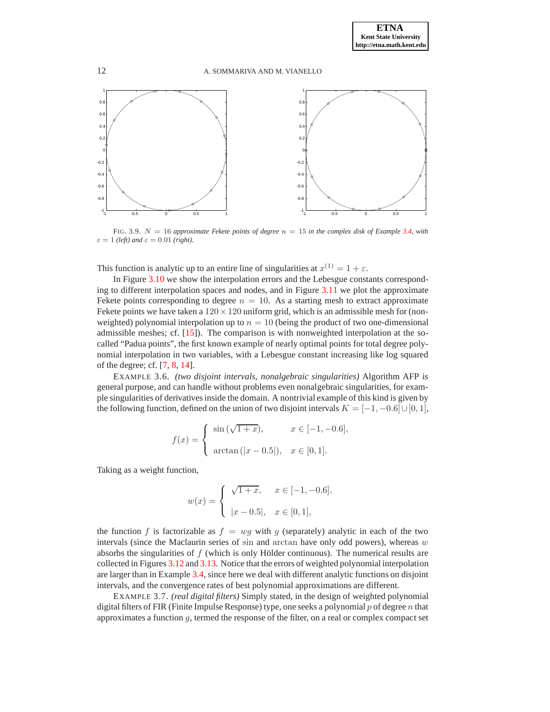

<span id="page-11-0"></span>FIG. 3.9. N = 16 *approximate Fekete points of degree* n = 15 *in the complex disk of Example [3.4,](#page-8-1) with*  $\varepsilon = 1$  *(left)* and  $\varepsilon = 0.01$  *(right).* 

This function is analytic up to an entire line of singularities at  $x^{(1)} = 1 + \varepsilon$ .

In Figure [3.10](#page-12-0) we show the interpolation errors and the Lebesgue constants corresponding to different interpolation spaces and nodes, and in Figure [3.11](#page-12-1) we plot the approximate Fekete points corresponding to degree  $n = 10$ . As a starting mesh to extract approximate Fekete points we have taken a  $120 \times 120$  uniform grid, which is an admissible mesh for (nonweighted) polynomial interpolation up to  $n = 10$  (being the product of two one-dimensional admissible meshes; cf. [\[15\]](#page-20-3)). The comparison is with nonweighted interpolation at the socalled "Padua points", the first known example of nearly optimal points for total degree polynomial interpolation in two variables, with a Lebesgue constant increasing like log squared of the degree; cf. [\[7,](#page-19-6) [8,](#page-19-7) [14\]](#page-20-11).

<span id="page-11-1"></span>EXAMPLE 3.6. *(two disjoint intervals, nonalgebraic singularities)* Algorithm AFP is general purpose, and can handle without problems even nonalgebraic singularities, for example singularities of derivatives inside the domain. A nontrivial example of this kind is given by the following function, defined on the union of two disjoint intervals  $K = [-1, -0.6] \cup [0, 1]$ ,

$$
f(x) = \begin{cases} \sin(\sqrt{1+x}), & x \in [-1, -0.6], \\ \arctan(|x - 0.5|), & x \in [0, 1]. \end{cases}
$$

Taking as a weight function,

$$
w(x) = \begin{cases} \sqrt{1+x}, & x \in [-1, -0.6], \\ |x - 0.5|, & x \in [0, 1], \end{cases}
$$

the function f is factorizable as  $f = wg$  with g (separately) analytic in each of the two intervals (since the Maclaurin series of sin and arctan have only odd powers), whereas  $w$ absorbs the singularities of  $f$  (which is only Hölder continuous). The numerical results are collected in Figures [3.12](#page-13-0) and [3.13.](#page-13-1) Notice that the errors of weighted polynomial interpolation are larger than in Example [3.4,](#page-8-1) since here we deal with different analytic functions on disjoint intervals, and the convergence rates of best polynomial approximations are different.

EXAMPLE 3.7. *(real digital filters)* Simply stated, in the design of weighted polynomial digital filters of FIR (Finite Impulse Response) type, one seeks a polynomial  $p$  of degree  $n$  that approximates a function  $g$ , termed the response of the filter, on a real or complex compact set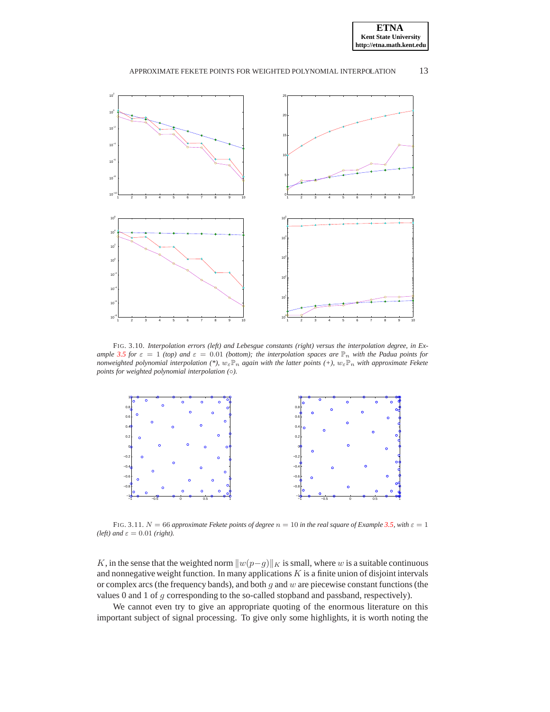



<span id="page-12-0"></span>FIG. 3.10. *Interpolation errors (left) and Lebesgue constants (right) versus the interpolation degree, in Example* [3.5](#page-9-1) *for*  $\varepsilon = 1$  *(top)* and  $\varepsilon = 0.01$  *(bottom); the interpolation spaces are*  $\mathbb{P}_n$  *with the Padua points for nonweighted polynomial interpolation (\*),*  $w_{\varepsilon} \mathbb{P}_n$  *again with the latter points (+),*  $w_{\varepsilon} \mathbb{P}_n$  *with approximate Fekete points for weighted polynomial interpolation (*◦*).*



<span id="page-12-1"></span>FIG. 3.11.  $N = 66$  *approximate Fekete points of degree*  $n = 10$  *in the real square of Example* [3.5,](#page-9-1) with  $\varepsilon = 1$ *(left)* and  $\varepsilon = 0.01$  *(right).* 

K, in the sense that the weighted norm  $||w(p-g)||_K$  is small, where w is a suitable continuous and nonnegative weight function. In many applications  $K$  is a finite union of disjoint intervals or complex arcs (the frequency bands), and both  $g$  and  $w$  are piecewise constant functions (the values 0 and 1 of g corresponding to the so-called stopband and passband, respectively).

We cannot even try to give an appropriate quoting of the enormous literature on this important subject of signal processing. To give only some highlights, it is worth noting the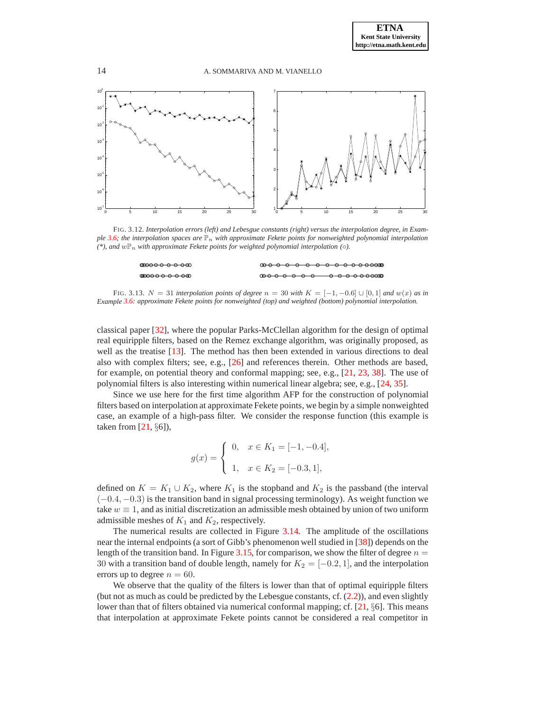

<span id="page-13-0"></span>FIG. 3.12. *Interpolation errors (left) and Lebesgue constants (right) versus the interpolation degree, in Example* [3.6;](#page-11-1) the interpolation spaces are  $\mathbb{P}_n$  with approximate Fekete points for nonweighted polynomial interpolation  $(*),$  and  $w\mathbb{P}_n$  with approximate Fekete points for weighted polynomial interpolation ( $\circ$ ).

| അക്കാര കാരണം <u>അ</u> |  |
|-----------------------|--|
| അഹൈ പൈ കൈ             |  |

<span id="page-13-1"></span>FIG. 3.13.  $N = 31$  *interpolation points of degree*  $n = 30$  *with*  $K = [-1, -0.6] \cup [0, 1]$  *and*  $w(x)$  *as in Example [3.6:](#page-11-1) approximate Fekete points for nonweighted (top) and weighted (bottom) polynomial interpolation.*

classical paper [\[32\]](#page-21-13), where the popular Parks-McClellan algorithm for the design of optimal real equiripple filters, based on the Remez exchange algorithm, was originally proposed, as well as the treatise [\[13\]](#page-20-12). The method has then been extended in various directions to deal also with complex filters; see, e.g., [\[26\]](#page-20-9) and references therein. Other methods are based, for example, on potential theory and conformal mapping; see, e.g., [\[21,](#page-20-13) [23,](#page-20-14) [38\]](#page-21-14). The use of polynomial filters is also interesting within numerical linear algebra; see, e.g., [\[24,](#page-20-15) [35\]](#page-21-15).

Since we use here for the first time algorithm AFP for the construction of polynomial filters based on interpolation at approximate Fekete points, we begin by a simple nonweighted case, an example of a high-pass filter. We consider the response function (this example is taken from  $[21, \S6]$ ),

$$
g(x) = \begin{cases} 0, & x \in K_1 = [-1, -0.4], \\ 1, & x \in K_2 = [-0.3, 1], \end{cases}
$$

defined on  $K = K_1 \cup K_2$ , where  $K_1$  is the stopband and  $K_2$  is the passband (the interval (−0.4, −0.3) is the transition band in signal processing terminology). As weight function we take  $w \equiv 1$ , and as initial discretization an admissible mesh obtained by union of two uniform admissible meshes of  $K_1$  and  $K_2$ , respectively.

The numerical results are collected in Figure [3.14.](#page-15-0) The amplitude of the oscillations near the internal endpoints (a sort of Gibb's phenomenon well studied in [\[38\]](#page-21-14)) depends on the length of the transition band. In Figure [3.15,](#page-15-1) for comparison, we show the filter of degree  $n =$ 30 with a transition band of double length, namely for  $K_2 = [-0.2, 1]$ , and the interpolation errors up to degree  $n = 60$ .

We observe that the quality of the filters is lower than that of optimal equiripple filters (but not as much as could be predicted by the Lebesgue constants, cf.  $(2.2)$ ), and even slightly lower than that of filters obtained via numerical conformal mapping; cf. [\[21,](#page-20-13) §6]. This means that interpolation at approximate Fekete points cannot be considered a real competitor in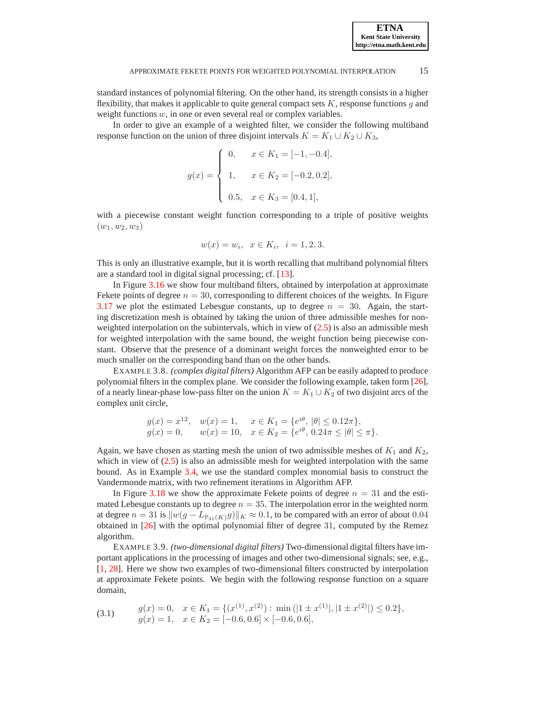standard instances of polynomial filtering. On the other hand, its strength consists in a higher flexibility, that makes it applicable to quite general compact sets  $K$ , response functions  $g$  and weight functions  $w$ , in one or even several real or complex variables.

In order to give an example of a weighted filter, we consider the following multiband response function on the union of three disjoint intervals  $K = K_1 \cup K_2 \cup K_3$ ,

$$
g(x) = \begin{cases} 0, & x \in K_1 = [-1, -0.4], \\ 1, & x \in K_2 = [-0.2, 0.2], \\ 0.5, & x \in K_3 = [0.4, 1], \end{cases}
$$

with a piecewise constant weight function corresponding to a triple of positive weights  $(w_1, w_2, w_3)$ 

$$
w(x) = w_i, \ \ x \in K_i, \ \ i = 1, 2, 3.
$$

This is only an illustrative example, but it is worth recalling that multiband polynomial filters are a standard tool in digital signal processing; cf. [\[13\]](#page-20-12).

In Figure [3.16](#page-16-0) we show four multiband filters, obtained by interpolation at approximate Fekete points of degree  $n = 30$ , corresponding to different choices of the weights. In Figure [3.17](#page-17-0) we plot the estimated Lebesgue constants, up to degree  $n = 30$ . Again, the starting discretization mesh is obtained by taking the union of three admissible meshes for nonweighted interpolation on the subintervals, which in view of  $(2.5)$  is also an admissible mesh for weighted interpolation with the same bound, the weight function being piecewise constant. Observe that the presence of a dominant weight forces the nonweighted error to be much smaller on the corresponding band than on the other bands.

<span id="page-14-0"></span>EXAMPLE 3.8. *(complex digital filters)* Algorithm AFP can be easily adapted to produce polynomial filters in the complex plane. We consider the following example, taken form [\[26\]](#page-20-9), of a nearly linear-phase low-pass filter on the union  $K = K_1 \cup K_2$  of two disjoint arcs of the complex unit circle,

> $g(x) = x^{12}, \quad w(x) = 1, \quad x \in K_1 = \{e^{i\theta}, |\theta| \le 0.12\pi\},\$  $g(x) = 0, \quad w(x) = 10, \quad x \in K_2 = \{e^{i\theta}, 0.24\pi \le |\theta| \le \pi\}.$

Again, we have chosen as starting mesh the union of two admissible meshes of  $K_1$  and  $K_2$ , which in view of  $(2.5)$  is also an admissible mesh for weighted interpolation with the same bound. As in Example [3.4,](#page-8-1) we use the standard complex monomial basis to construct the Vandermonde matrix, with two refinement iterations in Algorithm AFP.

In Figure [3.18](#page-17-1) we show the approximate Fekete points of degree  $n = 31$  and the estimated Lebesgue constants up to degree  $n = 35$ . The interpolation error in the weighted norm at degree  $n = 31$  is  $||w(g - L_{\mathbb{P}_{31}(K)}g)||_K \approx 0.1$ , to be compared with an error of about 0.04 obtained in [\[26\]](#page-20-9) with the optimal polynomial filter of degree 31, computed by the Remez algorithm.

<span id="page-14-1"></span>EXAMPLE 3.9. *(two-dimensional digital filters)* Two-dimensional digital filters have important applications in the processing of images and other two-dimensional signals; see, e.g., [\[1,](#page-19-8) [28\]](#page-20-16). Here we show two examples of two-dimensional filters constructed by interpolation at approximate Fekete points. We begin with the following response function on a square domain,

<span id="page-14-2"></span>
$$
(3.1) \quad g(x) = 0, \quad x \in K_1 = \{ (x^{(1)}, x^{(2)}) : \min(|1 \pm x^{(1)}|, |1 \pm x^{(2)}|) \le 0.2 \},
$$

$$
g(x) = 1, \quad x \in K_2 = [-0.6, 0.6] \times [-0.6, 0.6],
$$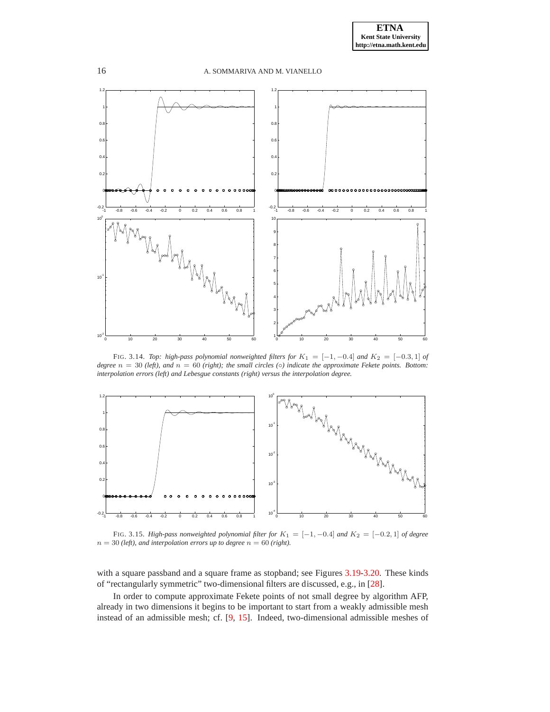

<span id="page-15-0"></span>FIG. 3.14. *Top: high-pass polynomial nonweighted filters for* K1 = [−1, −0.4] *and* K2 = [−0.3, 1] *of degree*  $n = 30$  *(left), and*  $n = 60$  *(right); the small circles* ( $\circ$ *) indicate the approximate Fekete points. Bottom: interpolation errors (left) and Lebesgue constants (right) versus the interpolation degree.*



<span id="page-15-1"></span>FIG. 3.15. *High-pass nonweighted polynomial filter for* K1 = [−1, −0.4] *and* K2 = [−0.2, 1] *of degree*  $n = 30$  *(left), and interpolation errors up to degree*  $n = 60$  *(right).* 

with a square passband and a square frame as stopband; see Figures [3.19-](#page-18-0)[3.20.](#page-18-1) These kinds of "rectangularly symmetric" two-dimensional filters are discussed, e.g., in [\[28\]](#page-20-16).

In order to compute approximate Fekete points of not small degree by algorithm AFP, already in two dimensions it begins to be important to start from a weakly admissible mesh instead of an admissible mesh; cf. [\[9,](#page-19-1) [15\]](#page-20-3). Indeed, two-dimensional admissible meshes of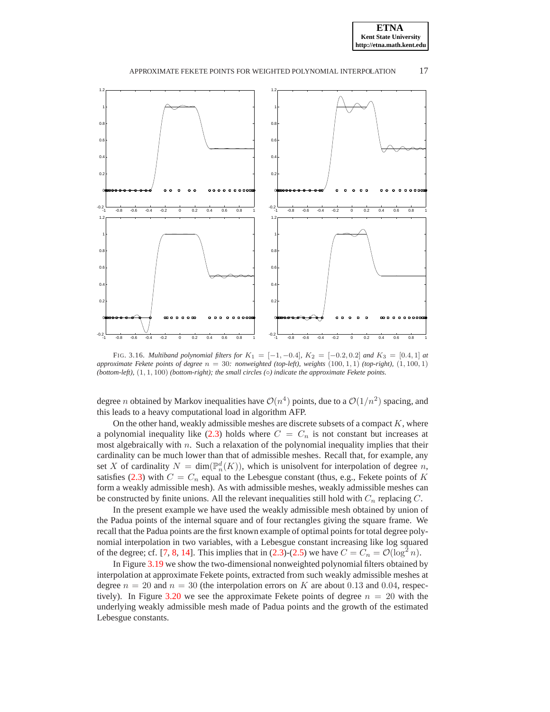



<span id="page-16-0"></span>FIG. 3.16. *Multiband polynomial filters for*  $K_1 = [-1, -0.4]$ ,  $K_2 = [-0.2, 0.2]$  *and*  $K_3 = [0.4, 1]$  *at approximate Fekete points of degree* n = 30*: nonweighted (top-left), weights* (100, 1, 1) *(top-right),* (1, 100, 1) *(bottom-left),* (1, 1, 100) *(bottom-right); the small circles (*◦*) indicate the approximate Fekete points.*

degree *n* obtained by Markov inequalities have  $O(n^4)$  points, due to a  $O(1/n^2)$  spacing, and this leads to a heavy computational load in algorithm AFP.

On the other hand, weakly admissible meshes are discrete subsets of a compact  $K$ , where a polynomial inequality like [\(2.3\)](#page-4-0) holds where  $C = C_n$  is not constant but increases at most algebraically with  $n$ . Such a relaxation of the polynomial inequality implies that their cardinality can be much lower than that of admissible meshes. Recall that, for example, any set X of cardinality  $N = \dim(\mathbb{P}_n^d(K))$ , which is unisolvent for interpolation of degree n, satisfies [\(2.3\)](#page-4-0) with  $C = C_n$  equal to the Lebesgue constant (thus, e.g., Fekete points of K form a weakly admissible mesh). As with admissible meshes, weakly admissible meshes can be constructed by finite unions. All the relevant inequalities still hold with  $C_n$  replacing  $C$ .

In the present example we have used the weakly admissible mesh obtained by union of the Padua points of the internal square and of four rectangles giving the square frame. We recall that the Padua points are the first known example of optimal points for total degree polynomial interpolation in two variables, with a Lebesgue constant increasing like log squared of the degree; cf. [\[7,](#page-19-6) [8,](#page-19-7) [14\]](#page-20-11). This implies that in [\(2.3\)](#page-4-0)-[\(2.5\)](#page-5-1) we have  $C = C_n = \mathcal{O}(\log^2 n)$ .

In Figure [3.19](#page-18-0) we show the two-dimensional nonweighted polynomial filters obtained by interpolation at approximate Fekete points, extracted from such weakly admissible meshes at degree  $n = 20$  and  $n = 30$  (the interpolation errors on K are about 0.13 and 0.04, respec-tively). In Figure [3.20](#page-18-1) we see the approximate Fekete points of degree  $n = 20$  with the underlying weakly admissible mesh made of Padua points and the growth of the estimated Lebesgue constants.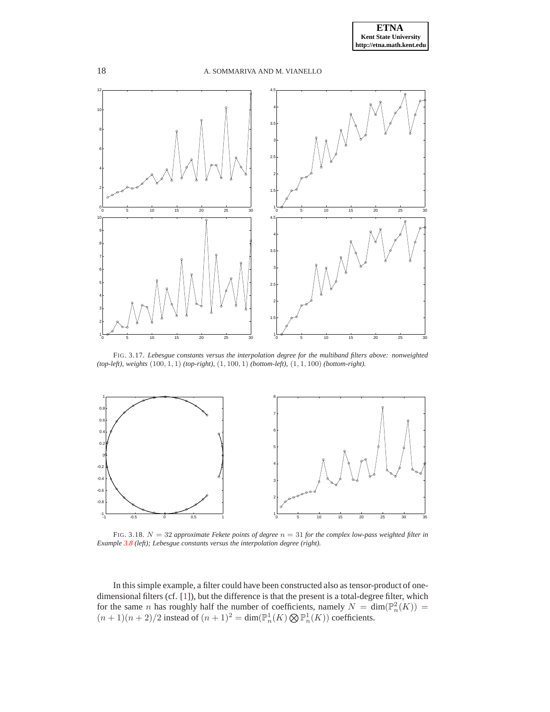



<span id="page-17-0"></span>FIG. 3.17. *Lebesgue constants versus the interpolation degree for the multiband filters above: nonweighted (top-left), weights* (100, 1, 1) *(top-right),* (1, 100, 1) *(bottom-left),* (1, 1, 100) *(bottom-right).*



<span id="page-17-1"></span>FIG. 3.18. N = 32 *approximate Fekete points of degree* n = 31 *for the complex low-pass weighted filter in Example [3.8](#page-14-0) (left); Lebesgue constants versus the interpolation degree (right).*

In this simple example, a filter could have been constructed also as tensor-product of onedimensional filters (cf. [\[1\]](#page-19-8)), but the difference is that the present is a total-degree filter, which for the same *n* has roughly half the number of coefficients, namely  $N = \dim(\mathbb{P}_n^2(K)) =$  $(n+1)(n+2)/2$  instead of  $(n+1)^2 = \dim(\mathbb{P}_n^1(K) \bigotimes \mathbb{P}_n^1(K))$  coefficients.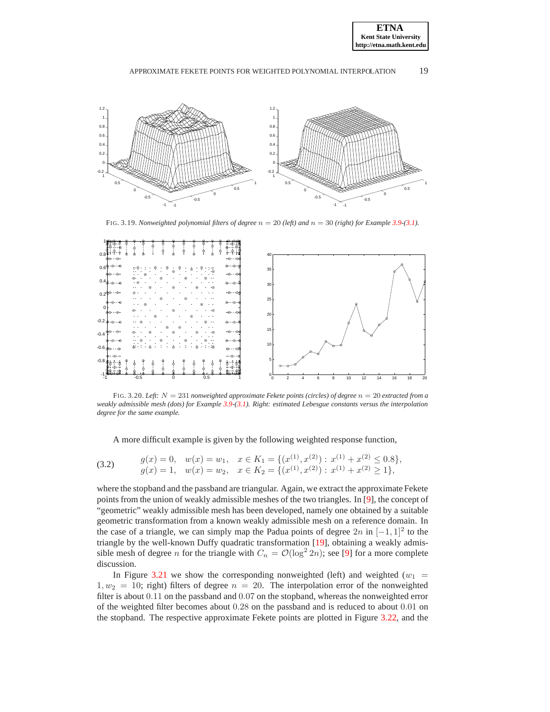



FIG. 3.19. *Nonweighted polynomial filters of degree*  $n = 20$  *(left) and*  $n = 30$  *(right) for Example* [3.9-](#page-14-1)[\(3.1\)](#page-14-2)*.* 

<span id="page-18-0"></span>

<span id="page-18-1"></span>FIG. 3.20. *Left:* N = 231 *nonweighted approximate Fekete points (circles) of degree* n = 20 *extracted from a weakly admissible mesh (dots) for Example [3.9-](#page-14-1)[\(3.1\)](#page-14-2). Right: estimated Lebesgue constants versus the interpolation degree for the same example.*

A more difficult example is given by the following weighted response function,

<span id="page-18-2"></span>(3.2) 
$$
g(x) = 0, \quad w(x) = w_1, \quad x \in K_1 = \{ (x^{(1)}, x^{(2)}) : x^{(1)} + x^{(2)} \le 0.8 \},
$$

$$
g(x) = 1, \quad w(x) = w_2, \quad x \in K_2 = \{ (x^{(1)}, x^{(2)}) : x^{(1)} + x^{(2)} \ge 1 \},
$$

where the stopband and the passband are triangular. Again, we extract the approximate Fekete points from the union of weakly admissible meshes of the two triangles. In [\[9\]](#page-19-1), the concept of "geometric" weakly admissible mesh has been developed, namely one obtained by a suitable geometric transformation from a known weakly admissible mesh on a reference domain. In the case of a triangle, we can simply map the Padua points of degree  $2n$  in  $[-1, 1]^2$  to the triangle by the well-known Duffy quadratic transformation [\[19\]](#page-20-17), obtaining a weakly admissible mesh of degree *n* for the triangle with  $C_n = \mathcal{O}(\log^2 2n)$ ; see [\[9\]](#page-19-1) for a more complete discussion.

In Figure [3.21](#page-19-9) we show the corresponding nonweighted (left) and weighted ( $w_1$  =  $1, w_2 = 10$ ; right) filters of degree  $n = 20$ . The interpolation error of the nonweighted filter is about 0.11 on the passband and 0.07 on the stopband, whereas the nonweighted error of the weighted filter becomes about 0.28 on the passband and is reduced to about 0.01 on the stopband. The respective approximate Fekete points are plotted in Figure [3.22,](#page-19-10) and the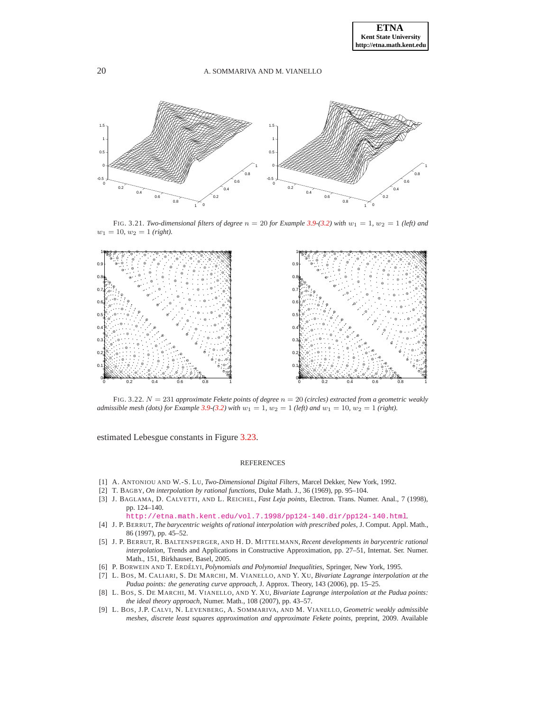

<span id="page-19-9"></span>FIG. 3.21. *Two-dimensional filters of degree*  $n = 20$  *for Example* [3.9-](#page-14-1)[\(3.2\)](#page-18-2) with  $w_1 = 1$ ,  $w_2 = 1$  *(left) and*  $w_1 = 10, w_2 = 1$  (right).



<span id="page-19-10"></span>FIG. 3.22. N = 231 *approximate Fekete points of degree* n = 20 *(circles) extracted from a geometric weakly admissible mesh (dots) for Example* [3.9-](#page-14-1)[\(3.2\)](#page-18-2) *with*  $w_1 = 1$ ,  $w_2 = 1$  *(left) and*  $w_1 = 10$ ,  $w_2 = 1$  *(right).* 

estimated Lebesgue constants in Figure [3.23.](#page-20-18)

#### REFERENCES

- <span id="page-19-8"></span><span id="page-19-2"></span>[1] A. ANTONIOU AND W.-S. LU, *Two-Dimensional Digital Filters*, Marcel Dekker, New York, 1992.
- [2] T. BAGBY, *On interpolation by rational functions*, Duke Math. J., 36 (1969), pp. 95–104.
- <span id="page-19-0"></span>[3] J. BAGLAMA, D. CALVETTI, AND L. REICHEL, *Fast Leja points*, Electron. Trans. Numer. Anal., 7 (1998), pp. 124–140.

<http://etna.math.kent.edu/vol.7.1998/pp124-140.dir/pp124-140.html>.

- <span id="page-19-3"></span>[4] J. P. BERRUT, *The barycentric weights of rational interpolation with prescribed poles*, J. Comput. Appl. Math., 86 (1997), pp. 45–52.
- <span id="page-19-4"></span>[5] J. P. BERRUT, R. BALTENSPERGER, AND H. D. MITTELMANN, *Recent developments in barycentric rational interpolation*, Trends and Applications in Constructive Approximation, pp. 27–51, Internat. Ser. Numer. Math., 151, Birkhauser, Basel, 2005.
- <span id="page-19-6"></span><span id="page-19-5"></span>[6] P. BORWEIN AND T. ERDÉLYI, *Polynomials and Polynomial Inequalities*, Springer, New York, 1995.
- [7] L. BOS, M. CALIARI, S. DE MARCHI, M. VIANELLO, AND Y. XU, *Bivariate Lagrange interpolation at the Padua points: the generating curve approach*, J. Approx. Theory, 143 (2006), pp. 15–25.
- <span id="page-19-7"></span>[8] L. BOS, S. DE MARCHI, M. VIANELLO, AND Y. XU, *Bivariate Lagrange interpolation at the Padua points: the ideal theory approach*, Numer. Math., 108 (2007), pp. 43–57.
- <span id="page-19-1"></span>[9] L. BOS, J.P. CALVI, N. LEVENBERG, A. SOMMARIVA, AND M. VIANELLO, *Geometric weakly admissible meshes, discrete least squares approximation and approximate Fekete points*, preprint, 2009. Available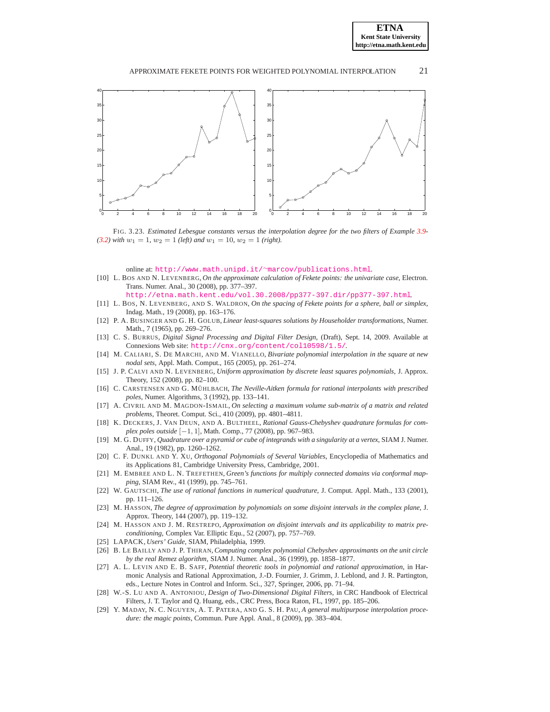



<span id="page-20-18"></span>FIG. 3.23. *Estimated Lebesgue constants versus the interpolation degree for the two filters of Example* [3.9-](#page-14-1)  $(3.2)$  *with*  $w_1 = 1$ *,*  $w_2 = 1$  *(left)* and  $w_1 = 10$ *,*  $w_2 = 1$  *(right).* 

online at: [http://www.math.unipd.it/](http://www.math.unipd.it/~marcov/publications.html)∼marcov/publications.html.

- <span id="page-20-2"></span>[10] L. BOS AND N. LEVENBERG, *On the approximate calculation of Fekete points: the univariate case*, Electron. Trans. Numer. Anal., 30 (2008), pp. 377–397.
	- <http://etna.math.kent.edu/vol.30.2008/pp377-397.dir/pp377-397.html>.
- <span id="page-20-0"></span>[11] L. BOS, N. LEVENBERG, AND S. WALDRON, *On the spacing of Fekete points for a sphere, ball or simplex*, Indag. Math., 19 (2008), pp. 163–176.
- <span id="page-20-6"></span>[12] P. A. BUSINGER AND G. H. GOLUB, *Linear least-squares solutions by Householder transformations*, Numer. Math., 7 (1965), pp. 269–276.
- <span id="page-20-12"></span>[13] C. S. BURRUS, *Digital Signal Processing and Digital Filter Design*, (Draft), Sept. 14, 2009. Available at Connexions Web site: <http://cnx.org/content/col10598/1.5/>.
- <span id="page-20-11"></span>[14] M. CALIARI, S. DE MARCHI, AND M. VIANELLO, *Bivariate polynomial interpolation in the square at new nodal sets*, Appl. Math. Comput., 165 (2005), pp. 261–274.
- <span id="page-20-10"></span><span id="page-20-3"></span>[15] J. P. CALVI AND N. LEVENBERG, *Uniform approximation by discrete least squares polynomials*, J. Approx. Theory, 152 (2008), pp. 82–100.
- [16] C. CARSTENSEN AND G. MÜHLBACH, *The Neville-Aitken formula for rational interpolants with prescribed poles*, Numer. Algorithms, 3 (1992), pp. 133–141.
- <span id="page-20-5"></span>[17] A. CIVRIL AND M. MAGDON-ISMAIL, *On selecting a maximum volume sub-matrix of a matrix and related problems*, Theoret. Comput. Sci., 410 (2009), pp. 4801–4811.
- [18] K. DECKERS, J. VAN DEUN, AND A. BULTHEEL, *Rational Gauss-Chebyshev quadrature formulas for complex poles outside* [−1, 1], Math. Comp., 77 (2008), pp. 967–983.
- <span id="page-20-17"></span>[19] M. G. DUFFY, *Quadrature over a pyramid or cube of integrands with a singularity at a vertex*, SIAM J. Numer. Anal., 19 (1982), pp. 1260–1262.
- [20] C. F. DUNKL AND Y. XU, *Orthogonal Polynomials of Several Variables*, Encyclopedia of Mathematics and its Applications 81, Cambridge University Press, Cambridge, 2001.
- <span id="page-20-13"></span>[21] M. EMBREE AND L. N. TREFETHEN, *Green's functions for multiply connected domains via conformal mapping*, SIAM Rev., 41 (1999), pp. 745–761.
- <span id="page-20-8"></span>[22] W. GAUTSCHI, *The use of rational functions in numerical quadrature*, J. Comput. Appl. Math., 133 (2001), pp. 111–126.
- <span id="page-20-14"></span>[23] M. HASSON, *The degree of approximation by polynomials on some disjoint intervals in the complex plane*, J. Approx. Theory, 144 (2007), pp. 119–132.
- <span id="page-20-15"></span>[24] M. HASSON AND J. M. RESTREPO, *Approximation on disjoint intervals and its applicability to matrix preconditioning*, Complex Var. Elliptic Equ., 52 (2007), pp. 757–769.
- <span id="page-20-9"></span><span id="page-20-7"></span>[25] LAPACK, *Users' Guide*, SIAM, Philadelphia, 1999.
- [26] B. LE BAILLY AND J. P. THIRAN, *Computing complex polynomial Chebyshev approximants on the unit circle by the real Remez algorithm*, SIAM J. Numer. Anal., 36 (1999), pp. 1858–1877.
- <span id="page-20-1"></span>[27] A. L. LEVIN AND E. B. SAFF, *Potential theoretic tools in polynomial and rational approximation*, in Harmonic Analysis and Rational Approximation, J.-D. Fournier, J. Grimm, J. Leblond, and J. R. Partington, eds., Lecture Notes in Control and Inform. Sci., 327, Springer, 2006, pp. 71–94.
- <span id="page-20-16"></span>[28] W.-S. LU AND A. ANTONIOU, *Design of Two-Dimensional Digital Filters*, in CRC Handbook of Electrical Filters, J. T. Taylor and Q. Huang, eds., CRC Press, Boca Raton, FL, 1997, pp. 185–206.
- <span id="page-20-4"></span>[29] Y. MADAY, N. C. NGUYEN, A. T. PATERA, AND G. S. H. PAU, *A general multipurpose interpolation procedure: the magic points*, Commun. Pure Appl. Anal., 8 (2009), pp. 383–404.